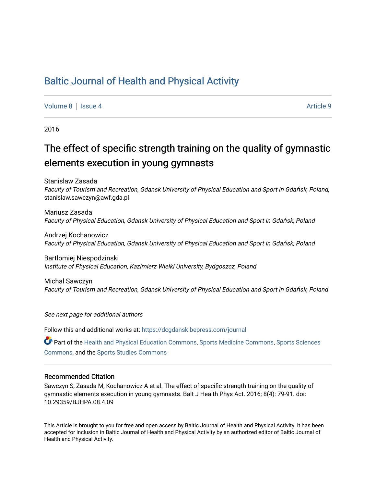## [Baltic Journal of Health and Physical Activity](https://dcgdansk.bepress.com/journal)

[Volume 8](https://dcgdansk.bepress.com/journal/vol8) | [Issue 4](https://dcgdansk.bepress.com/journal/vol8/iss4) Article 9

2016

# The effect of specific strength training on the quality of gymnastic elements execution in young gymnasts

Stanislaw Zasada Faculty of Tourism and Recreation, Gdansk University of Physical Education and Sport in Gdańsk, Poland, stanislaw.sawczyn@awf.gda.pl

Mariusz Zasada Faculty of Physical Education, Gdansk University of Physical Education and Sport in Gdańsk, Poland

Andrzej Kochanowicz Faculty of Physical Education, Gdansk University of Physical Education and Sport in Gdańsk, Poland

Bartlomiej Niespodzinski Institute of Physical Education, Kazimierz Wielki University, Bydgoszcz, Poland

Michal Sawczyn Faculty of Tourism and Recreation, Gdansk University of Physical Education and Sport in Gdańsk, Poland

See next page for additional authors

Follow this and additional works at: [https://dcgdansk.bepress.com/journal](https://dcgdansk.bepress.com/journal?utm_source=dcgdansk.bepress.com%2Fjournal%2Fvol8%2Fiss4%2F9&utm_medium=PDF&utm_campaign=PDFCoverPages)

Part of the [Health and Physical Education Commons](http://network.bepress.com/hgg/discipline/1327?utm_source=dcgdansk.bepress.com%2Fjournal%2Fvol8%2Fiss4%2F9&utm_medium=PDF&utm_campaign=PDFCoverPages), [Sports Medicine Commons,](http://network.bepress.com/hgg/discipline/1331?utm_source=dcgdansk.bepress.com%2Fjournal%2Fvol8%2Fiss4%2F9&utm_medium=PDF&utm_campaign=PDFCoverPages) [Sports Sciences](http://network.bepress.com/hgg/discipline/759?utm_source=dcgdansk.bepress.com%2Fjournal%2Fvol8%2Fiss4%2F9&utm_medium=PDF&utm_campaign=PDFCoverPages) [Commons](http://network.bepress.com/hgg/discipline/759?utm_source=dcgdansk.bepress.com%2Fjournal%2Fvol8%2Fiss4%2F9&utm_medium=PDF&utm_campaign=PDFCoverPages), and the [Sports Studies Commons](http://network.bepress.com/hgg/discipline/1198?utm_source=dcgdansk.bepress.com%2Fjournal%2Fvol8%2Fiss4%2F9&utm_medium=PDF&utm_campaign=PDFCoverPages) 

#### Recommended Citation

Sawczyn S, Zasada M, Kochanowicz A et al. The effect of specific strength training on the quality of gymnastic elements execution in young gymnasts. Balt J Health Phys Act. 2016; 8(4): 79-91. doi: 10.29359/BJHPA.08.4.09

This Article is brought to you for free and open access by Baltic Journal of Health and Physical Activity. It has been accepted for inclusion in Baltic Journal of Health and Physical Activity by an authorized editor of Baltic Journal of Health and Physical Activity.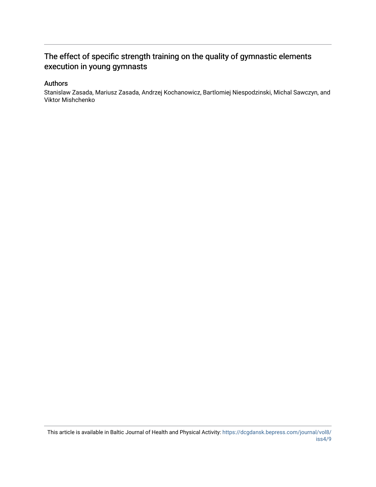## The effect of specific strength training on the quality of gymnastic elements execution in young gymnasts

## Authors

Stanislaw Zasada, Mariusz Zasada, Andrzej Kochanowicz, Bartlomiej Niespodzinski, Michal Sawczyn, and Viktor Mishchenko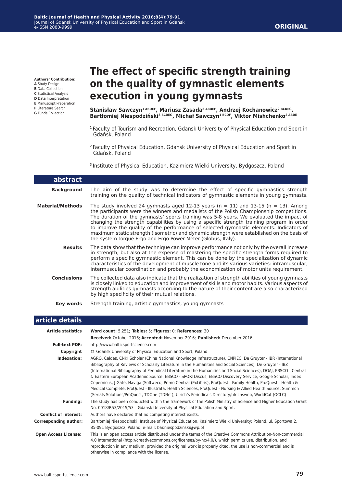**Authors' Contribution:**

**A** Study Design **B** Data Collection **C** Statistical Analysis **D** Data Interpretation **E** Manuscript Preparation **F** Literature Search **G** Funds Collection

# **The effect of specific strength training on the quality of gymnastic elements execution in young gymnasts**

**Stanisław Sawczyn1 ABDEF, Mariusz Zasada2 ABDEF, Andrzej Kochanowicz2 BCDEG, Bartłomiej Niespodziński3 BCDEG, Michał Sawczyn1 BCDF, Viktor Mishchenko2 ABDE**

- <sup>1</sup> Faculty of Tourism and Recreation, Gdansk University of Physical Education and Sport in Gdańsk, Poland
- 2 Faculty of Physical Education, Gdansk University of Physical Education and Sport in Gdańsk, Poland
- <sup>3</sup> Institute of Physical Education, Kazimierz Wielki University, Bydgoszcz, Poland

| <b>abstract</b>         |                                                                                                                                                                                                                                                                                                                                                                                                                                                                                                                                                                                                                                        |
|-------------------------|----------------------------------------------------------------------------------------------------------------------------------------------------------------------------------------------------------------------------------------------------------------------------------------------------------------------------------------------------------------------------------------------------------------------------------------------------------------------------------------------------------------------------------------------------------------------------------------------------------------------------------------|
| <b>Background</b>       | The aim of the study was to determine the effect of specific gymnastics strength<br>training on the quality of technical indicators of gymnastic elements in young gymnasts.                                                                                                                                                                                                                                                                                                                                                                                                                                                           |
| <b>Material/Methods</b> | The study involved 24 gymnasts aged 12-13 years ( $n = 11$ ) and 13-15 ( $n = 13$ ). Among<br>the participants were the winners and medalists of the Polish Championship competitions.<br>The duration of the gymnasts' sports training was 5-8 years. We evaluated the impact of<br>changing the strength capabilities by using a specific strength training program in order<br>to improve the quality of the performance of selected gymnastic elements. Indicators of<br>maximum static strength (isometric) and dynamic strength were established on the basis of<br>the system torque Ergo and Ergo Power Meter (Globus, Italy). |
| <b>Results</b>          | The data show that the technique can improve performance not only by the overall increase<br>in strength, but also at the expense of mastering the specific strength forms required to<br>perform a specific gymnastic element. This can be done by the specialization of dynamic<br>characteristics of the development of muscle tone and its various varieties: intramuscular,<br>intermuscular coordination and probably the economization of motor units requirement.                                                                                                                                                              |
| <b>Conclusions</b>      | The collected data also indicate that the realization of strength abilities of young gymnasts<br>is closely linked to education and improvement of skills and motor habits. Various aspects of<br>strength abilities gymnasts according to the nature of their content are also characterized<br>by high specificity of their mutual relations.                                                                                                                                                                                                                                                                                        |
| Key words               | Strength training, artistic gymnastics, young gymnasts                                                                                                                                                                                                                                                                                                                                                                                                                                                                                                                                                                                 |
| article details         |                                                                                                                                                                                                                                                                                                                                                                                                                                                                                                                                                                                                                                        |

#### **article details**

| <b>Article statistics</b>    | Word count: 5,251; Tables: 5; Figures: 0; References: 30                                                                                                                                                                                                                                                                                                                                                                                                                                                                                                                                                                                                                                                                                                                                             |
|------------------------------|------------------------------------------------------------------------------------------------------------------------------------------------------------------------------------------------------------------------------------------------------------------------------------------------------------------------------------------------------------------------------------------------------------------------------------------------------------------------------------------------------------------------------------------------------------------------------------------------------------------------------------------------------------------------------------------------------------------------------------------------------------------------------------------------------|
|                              | Received: October 2016; Accepted: November 2016; Published: December 2016                                                                                                                                                                                                                                                                                                                                                                                                                                                                                                                                                                                                                                                                                                                            |
| <b>Full-text PDF:</b>        | http://www.balticsportscience.com                                                                                                                                                                                                                                                                                                                                                                                                                                                                                                                                                                                                                                                                                                                                                                    |
| Copyright                    | © Gdansk University of Physical Education and Sport, Poland                                                                                                                                                                                                                                                                                                                                                                                                                                                                                                                                                                                                                                                                                                                                          |
| Indexation:                  | AGRO, Celdes, CNKI Scholar (China National Knowledge Infrastructure), CNPIEC, De Gruyter - IBR (International<br>Bibliography of Reviews of Scholarly Literature in the Humanities and Social Sciences), De Gruyter - IBZ<br>(International Bibliography of Periodical Literature in the Humanities and Social Sciences), DOAJ, EBSCO - Central<br>& Eastern European Academic Source, EBSCO - SPORTDiscus, EBSCO Discovery Service, Google Scholar, Index<br>Copernicus, J-Gate, Naviga (Softweco, Primo Central (ExLibris), ProQuest - Family Health, ProQuest - Health &<br>Medical Complete, ProQuest - Illustrata: Health Sciences, ProQuest - Nursing & Allied Health Source, Summon<br>(Serials Solutions/ProQuest, TDOne (TDNet), Ulrich's Periodicals Directory/ulrichsweb, WorldCat (OCLC) |
| <b>Funding:</b>              | The study has been conducted within the framework of the Polish Ministry of Science and Higher Education Grant<br>No. 0018/R53/2015/53 - Gdansk University of Physical Education and Sport.                                                                                                                                                                                                                                                                                                                                                                                                                                                                                                                                                                                                          |
| <b>Conflict of interest:</b> | Authors have declared that no competing interest exists.                                                                                                                                                                                                                                                                                                                                                                                                                                                                                                                                                                                                                                                                                                                                             |
| <b>Corresponding author:</b> | Bartłomiej Niespodziński; Institute of Physical Education, Kazimierz Wielki University; Poland, ul. Sportowa 2,<br>85-091 Bydgoszcz, Poland; e-mail: bar.niespodzinski@wp.pl                                                                                                                                                                                                                                                                                                                                                                                                                                                                                                                                                                                                                         |
| <b>Open Access License:</b>  | This is an open access article distributed under the terms of the Creative Commons Attribution-Non-commercial<br>4.0 International (http://creativecommons.org/licenses/by-nc/4.0/), which permits use, distribution, and<br>reproduction in any medium, provided the original work is properly cited, the use is non-commercial and is<br>otherwise in compliance with the license.                                                                                                                                                                                                                                                                                                                                                                                                                 |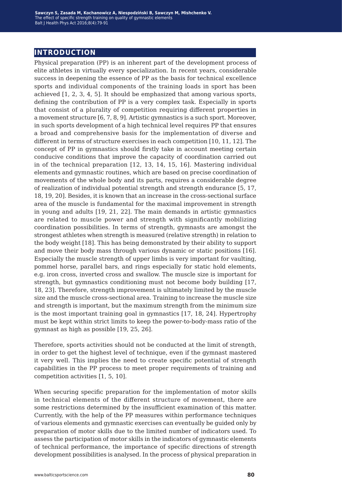## **introduction**

Physical preparation (PP) is an inherent part of the development process of elite athletes in virtually every specialization. In recent years, considerable success in deepening the essence of PP as the basis for technical excellence sports and individual components of the training loads in sport has been achieved [1, 2, 3, 4, 5]. It should be emphasized that among various sports, defining the contribution of PP is a very complex task. Especially in sports that consist of a plurality of competition requiring different properties in a movement structure [6, 7, 8, 9]. Artistic gymnastics is a such sport. Moreover, in such sports development of a high technical level requires PP that ensures a broad and comprehensive basis for the implementation of diverse and different in terms of structure exercises in each competition [10, 11, 12]. The concept of PP in gymnastics should firstly take in account meeting certain conducive conditions that improve the capacity of coordination carried out in of the technical preparation [12, 13, 14, 15, 16]. Mastering individual elements and gymnastic routines, which are based on precise coordination of movements of the whole body and its parts, requires a considerable degree of realization of individual potential strength and strength endurance [5, 17, 18, 19, 20]. Besides, it is known that an increase in the cross-sectional surface area of the muscle is fundamental for the maximal improvement in strength in young and adults [19, 21, 22]. The main demands in artistic gymnastics are related to muscle power and strength with significantly mobilizing coordination possibilities. In terms of strength, gymnasts are amongst the strongest athletes when strength is measured (relative strength) in relation to the body weight [18]. This has being demonstrated by their ability to support and move their body mass through various dynamic or static positions [16]. Especially the muscle strength of upper limbs is very important for vaulting, pommel horse, parallel bars, and rings especially for static hold elements, e.g. iron cross, inverted cross and swallow. The muscle size is important for strength, but gymnastics conditioning must not become body building [17, 18, 23]. Therefore, strength improvement is ultimately limited by the muscle size and the muscle cross-sectional area. Training to increase the muscle size and strength is important, but the maximum strength from the minimum size is the most important training goal in gymnastics [17, 18, 24]. Hypertrophy must be kept within strict limits to keep the power-to-body-mass ratio of the gymnast as high as possible [19, 25, 26].

Therefore, sports activities should not be conducted at the limit of strength, in order to get the highest level of technique, even if the gymnast mastered it very well. This implies the need to create specific potential of strength capabilities in the PP process to meet proper requirements of training and competition activities [1, 5, 10].

When securing specific preparation for the implementation of motor skills in technical elements of the different structure of movement, there are some restrictions determined by the insufficient examination of this matter. Currently, with the help of the PP measures within performance techniques of various elements and gymnastic exercises can eventually be guided only by preparation of motor skills due to the limited number of indicators used. To assess the participation of motor skills in the indicators of gymnastic elements of technical performance, the importance of specific directions of strength development possibilities is analysed. In the process of physical preparation in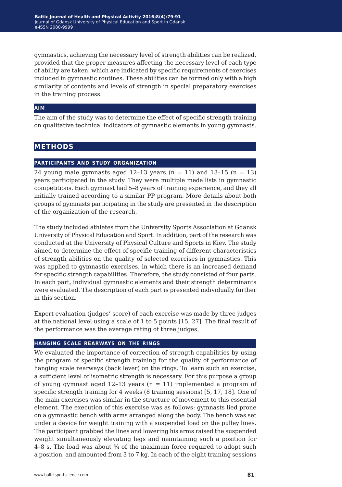gymnastics, achieving the necessary level of strength abilities can be realized, provided that the proper measures affecting the necessary level of each type of ability are taken, which are indicated by specific requirements of exercises included in gymnastic routines. These abilities can be formed only with a high similarity of contents and levels of strength in special preparatory exercises in the training process.

#### **aim**

The aim of the study was to determine the effect of specific strength training on qualitative technical indicators of gymnastic elements in young gymnasts.

## **methods**

### **participants and study organization**

24 young male gymnasts aged 12-13 years  $(n = 11)$  and 13-15  $(n = 13)$ years participated in the study. They were multiple medallists in gymnastic competitions. Each gymnast had 5–8 years of training experience, and they all initially trained according to a similar PP program. More details about both groups of gymnasts participating in the study are presented in the description of the organization of the research.

The study included athletes from the University Sports Association at Gdansk University of Physical Education and Sport. In addition, part of the research was conducted at the University of Physical Culture and Sports in Kiev. The study aimed to determine the effect of specific training of different characteristics of strength abilities on the quality of selected exercises in gymnastics. This was applied to gymnastic exercises, in which there is an increased demand for specific strength capabilities. Therefore, the study consisted of four parts. In each part, individual gymnastic elements and their strength determinants were evaluated. The description of each part is presented individually further in this section.

Expert evaluation (judges' score) of each exercise was made by three judges at the national level using a scale of 1 to 5 points [15, 27]. The final result of the performance was the average rating of three judges.

#### **hanging scale rearways on the rings**

We evaluated the importance of correction of strength capabilities by using the program of specific strength training for the quality of performance of hanging scale rearways (back lever) on the rings. To learn such an exercise, a sufficient level of isometric strength is necessary. For this purpose a group of young gymnast aged  $12-13$  years ( $n = 11$ ) implemented a program of specific strength training for 4 weeks (8 training sessions) [5, 17, 18]. One of the main exercises was similar in the structure of movement to this essential element. The execution of this exercise was as follows: gymnasts lied prone on a gymnastic bench with arms arranged along the body. The bench was set under a device for weight training with a suspended load on the pulley lines. The participant grabbed the lines and lowering his arms raised the suspended weight simultaneously elevating legs and maintaining such a position for 4-8 s. The load was about 34 of the maximum force required to adopt such a position, and amounted from 3 to 7 kg. In each of the eight training sessions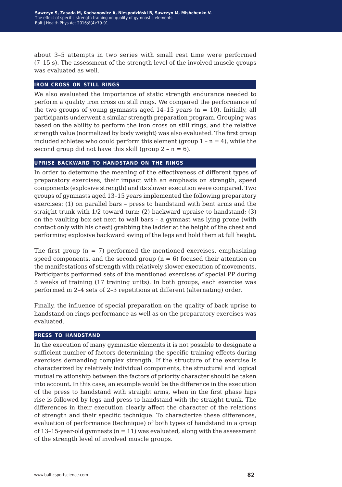about 3–5 attempts in two series with small rest time were performed (7–15 s). The assessment of the strength level of the involved muscle groups was evaluated as well.

#### **iron cross on still rings**

We also evaluated the importance of static strength endurance needed to perform a quality iron cross on still rings. We compared the performance of the two groups of young gymnasts aged  $14-15$  years ( $n = 10$ ). Initially, all participants underwent a similar strength preparation program. Grouping was based on the ability to perform the iron cross on still rings, and the relative strength value (normalized by body weight) was also evaluated. The first group included athletes who could perform this element (group  $1 - n = 4$ ), while the second group did not have this skill (group  $2 - n = 6$ ).

#### **uprise backward to handstand on the rings**

In order to determine the meaning of the effectiveness of different types of preparatory exercises, their impact with an emphasis on strength, speed components (explosive strength) and its slower execution were compared. Two groups of gymnasts aged 13–15 years implemented the following preparatory exercises: (1) on parallel bars – press to handstand with bent arms and the straight trunk with 1/2 toward turn; (2) backward upraise to handstand; (3) on the vaulting box set next to wall bars – a gymnast was lying prone (with contact only with his chest) grabbing the ladder at the height of the chest and performing explosive backward swing of the legs and hold them at full height.

The first group ( $n = 7$ ) performed the mentioned exercises, emphasizing speed components, and the second group  $(n = 6)$  focused their attention on the manifestations of strength with relatively slower execution of movements. Participants performed sets of the mentioned exercises of special PP during 5 weeks of training (17 training units). In both groups, each exercise was performed in 2–4 sets of 2–3 repetitions at different (alternating) order.

Finally, the influence of special preparation on the quality of back uprise to handstand on rings performance as well as on the preparatory exercises was evaluated.

#### **press to handstand**

In the execution of many gymnastic elements it is not possible to designate a sufficient number of factors determining the specific training effects during exercises demanding complex strength. If the structure of the exercise is characterized by relatively individual components, the structural and logical mutual relationship between the factors of priority character should be taken into account. In this case, an example would be the difference in the execution of the press to handstand with straight arms, when in the first phase hips rise is followed by legs and press to handstand with the straight trunk. The differences in their execution clearly affect the character of the relations of strength and their specific technique. To characterize these differences, evaluation of performance (technique) of both types of handstand in a group of 13-15-year-old gymnasts  $(n = 11)$  was evaluated, along with the assessment of the strength level of involved muscle groups.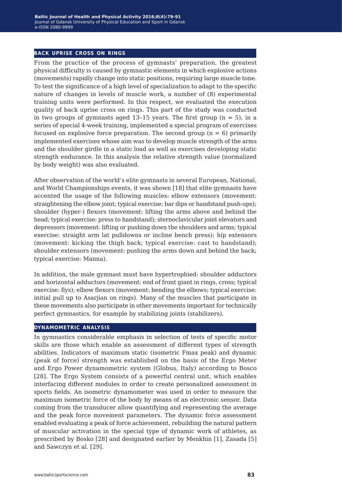#### **back uprise cross on rings**

From the practice of the process of gymnasts' preparation, the greatest physical difficulty is caused by gymnastic elements in which explosive actions (movements) rapidly change into static positions, requiring large muscle tone. To test the significance of a high level of specialization to adapt to the specific nature of changes in levels of muscle work, a number of (8) experimental training units were performed. In this respect, we evaluated the execution quality of back uprise cross on rings. This part of the study was conducted in two groups of gymnasts aged 13-15 years. The first group  $(n = 5)$ , in a series of special 4-week training, implemented a special program of exercises focused on explosive force preparation. The second group  $(n = 6)$  primarily implemented exercises whose aim was to develop muscle strength of the arms and the shoulder girdle in a static load as well as exercises developing static strength endurance. In this analysis the relative strength value (normalized by body weight) was also evaluated.

After observation of the world's elite gymnasts in several European, National, and World Championships events, it was shown [18] that elite gymnasts have accented the usage of the following muscles: elbow extensors (movement: straightening the elbow joint; typical exercise: bar dips or handstand push-ups); shoulder (hyper-) flexors (movement: lifting the arms above and behind the head; typical exercise: press to handstand); sternoclavicular joint elevators and depressors (movement: lifting or pushing down the shoulders and arms; typical exercise: straight arm lat pulldowns or incline bench press); hip extensors (movement: kicking the thigh back; typical exercise: cast to handstand); shoulder extensors (movement: pushing the arms down and behind the back; typical exercise: Manna).

In addition, the male gymnast must have hypertrophied: shoulder adductors and horizontal adductors (movement: end of front giant in rings, cross; typical exercise: flys); elbow flexors (movement: bending the elbows; typical exercise: initial pull up to Asarjian on rings). Many of the muscles that participate in these movements also participate in other movements important for technically perfect gymnastics, for example by stabilizing joints (stabilizers).

#### **dynamometric analysis**

In gymnastics considerable emphasis in selection of tests of specific motor skills are those which enable an assessment of different types of strength abilities. Indicators of maximum static (isometric Fmax peak) and dynamic (peak of force) strength was established on the basis of the Ergo Meter and Ergo Power dynamometric system (Globus, Italy) according to Bosco [28]. The Ergo System consists of a powerful central unit, which enables interfacing different modules in order to create personalized assessment in sports fields. An isometric dynamometer was used in order to measure the maximum isometric force of the body by means of an electronic sensor. Data coming from the transducer allow quantifying and representing the average and the peak force movement parameters. The dynamic force assessment enabled evaluating a peak of force achievement, rebuilding the natural pattern of muscular activation in the special type of dynamic work of athletes, as prescribed by Bosko [28] and designated earlier by Menkhin [1], Zasada [5] and Sawczyn et al. [29].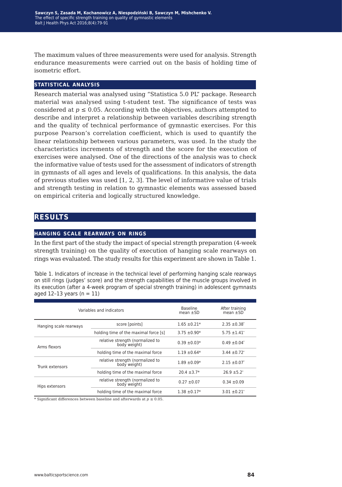The maximum values of three measurements were used for analysis. Strength endurance measurements were carried out on the basis of holding time of isometric effort.

## **statistical analysis**

Research material was analysed using "Statistica 5.0 PL" package. Research material was analysed using t-student test. The significance of tests was considered at  $p \le 0.05$ . According with the objectives, authors attempted to describe and interpret a relationship between variables describing strength and the quality of technical performance of gymnastic exercises. For this purpose Pearson's correlation coefficient, which is used to quantify the linear relationship between various parameters, was used. In the study the characteristics increments of strength and the score for the execution of exercises were analysed. One of the directions of the analysis was to check the informative value of tests used for the assessment of indicators of strength in gymnasts of all ages and levels of qualifications. In this analysis, the data of previous studies was used [1, 2, 3]. The level of informative value of trials and strength testing in relation to gymnastic elements was assessed based on empirical criteria and logically structured knowledge.

## **results**

#### **hanging scale rearways on rings**

In the first part of the study the impact of special strength preparation (4-week strength training) on the quality of execution of hanging scale rearways on rings was evaluated. The study results for this experiment are shown in Table 1.

Table 1. Indicators of increase in the technical level of performing hanging scale rearways on still rings (judges' score) and the strength capabilities of the muscle groups involved in its execution (after a 4-week program of special strength training) in adolescent gymnasts aged  $12-13$  years (n = 11)

|                        | Variables and indicators                         | <b>Baseline</b><br>mean $\pm$ SD | After training<br>mean $\pm$ SD |
|------------------------|--------------------------------------------------|----------------------------------|---------------------------------|
| Hanging scale rearways | score [points]                                   | $1.65 \pm 0.21*$                 | $2.35 \pm 0.38^*$               |
|                        | holding time of the maximal force [s]            | $3.75 \pm 0.90*$                 | $5.75 \pm 1.41^*$               |
| Arms flexors           | relative strength (normalized to<br>body weight) | $0.39 \pm 0.03*$                 | $0.49 \pm 0.04^*$               |
|                        | holding time of the maximal force                | $1.19 \pm 0.64*$                 | $3.44 \pm 0.72$ <sup>*</sup>    |
| Trunk extensors        | relative strength (normalized to<br>body weight) | $1.89 \pm 0.09*$                 | $2.15 \pm 0.07$ <sup>*</sup>    |
|                        | holding time of the maximal force                | $20.4 \pm 3.7*$                  | $26.9 \pm 5.2^*$                |
| Hips extensors         | relative strength (normalized to<br>body weight) | $0.27 \pm 0.07$                  | $0.34 \pm 0.09$                 |
|                        | holding time of the maximal force                | $1.38 \pm 0.17*$                 | $3.01 \pm 0.21^*$               |

\* Significant differences between baseline and afterwards at  $p \leq 0.05$ .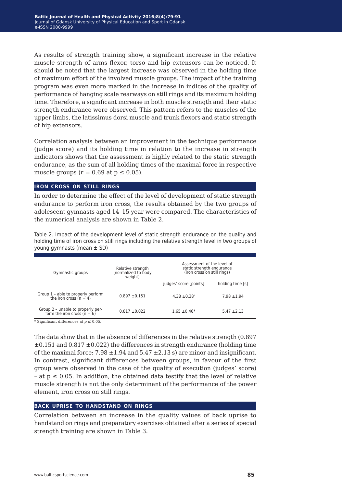As results of strength training show, a significant increase in the relative muscle strength of arms flexor, torso and hip extensors can be noticed. It should be noted that the largest increase was observed in the holding time of maximum effort of the involved muscle groups. The impact of the training program was even more marked in the increase in indices of the quality of performance of hanging scale rearways on still rings and its maximum holding time. Therefore, a significant increase in both muscle strength and their static strength endurance were observed. This pattern refers to the muscles of the upper limbs, the latissimus dorsi muscle and trunk flexors and static strength of hip extensors.

Correlation analysis between an improvement in the technique performance (judge score) and its holding time in relation to the increase in strength indicators shows that the assessment is highly related to the static strength endurance, as the sum of all holding times of the maximal force in respective muscle groups ( $r = 0.69$  at  $p \le 0.05$ ).

#### **iron cross on still rings**

In order to determine the effect of the level of development of static strength endurance to perform iron cross, the results obtained by the two groups of adolescent gymnasts aged 14–15 year were compared. The characteristics of the numerical analysis are shown in Table 2.

Table 2. Impact of the development level of static strength endurance on the quality and holding time of iron cross on still rings including the relative strength level in two groups of young gymnasts (mean ± SD)

| Gymnastic groups                                                                        | Relative strength<br>(normalized to body<br>weight) | Assessment of the level of<br>static strength endurance<br>(iron cross on still rings) |                  |  |
|-----------------------------------------------------------------------------------------|-----------------------------------------------------|----------------------------------------------------------------------------------------|------------------|--|
|                                                                                         |                                                     | judges' score [points]                                                                 | holding time [s] |  |
| Group $1$ – able to properly perform<br>the iron cross ( $n = 4$ )<br>$0.897 \pm 0.151$ |                                                     | $4.38 \pm 0.38^*$                                                                      | $7.98 + 1.94$    |  |
| Group 2 - unable to properly per-<br>form the iron cross ( $n = 6$ )                    | $0.817 \pm 0.022$                                   | $1.65 \pm 0.46*$                                                                       | $5.47 \pm 2.13$  |  |

\* Significant differences at  $p \le 0.05$ .

The data show that in the absence of differences in the relative strength (0.897  $\pm 0.151$  and  $0.817 \pm 0.022$ ) the differences in strength endurance (holding time of the maximal force:  $7.98 \pm 1.94$  and  $5.47 \pm 2.13$  s) are minor and insignificant. In contrast, significant differences between groups, in favour of the first group were observed in the case of the quality of execution (judges' score)  $-$  at  $p \le 0.05$ . In addition, the obtained data testify that the level of relative muscle strength is not the only determinant of the performance of the power element, iron cross on still rings.

#### **back uprise to handstand on rings**

Correlation between an increase in the quality values of back uprise to handstand on rings and preparatory exercises obtained after a series of special strength training are shown in Table 3.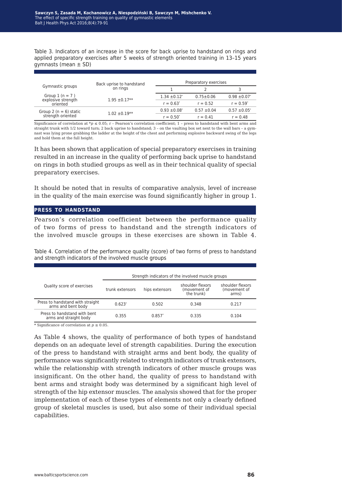Table 3. Indicators of an increase in the score for back uprise to handstand on rings and applied preparatory exercises after 5 weeks of strength oriented training in 13–15 years gymnasts (mean  $\pm$  SD)

|                                        | Back uprise to handstand<br>on rings | Preparatory exercises        |                 |                              |  |
|----------------------------------------|--------------------------------------|------------------------------|-----------------|------------------------------|--|
| Gymnastic groups                       |                                      |                              |                 |                              |  |
| Group $1(n = 7)$<br>explosive strength | $1.95 \pm 0.17**$                    | $1.34 \pm 0.12$ <sup>*</sup> | $0.75 \pm 0.06$ | $0.98 \pm 0.07$ <sup>*</sup> |  |
| oriented                               |                                      | $r = 0.63^*$                 | $r = 0.52$      | $r = 0.59^*$                 |  |
| Group 2 ( $n = 6$ ) static             | $1.02 \pm 0.19**$                    | $0.93 \pm 0.08^*$            | $0.57 \pm 0.04$ | $0.57 \pm 0.05^*$            |  |
| strength oriented                      |                                      | $r = 0.50^*$                 | $r = 0.41$      | $r = 0.48$                   |  |

Significance of correlation at  $*p \leq 0.05$ ; r – Pearson's correlation coefficient; 1 – press to handstand with bent arms and straight trunk with 1/2 toward turn; 2 back uprise to handstand; 3 – on the vaulting box set next to the wall bars – a gymnast was lying prone grabbing the ladder at the height of the chest and performing explosive backward swing of the legs and hold them at the full height.

It has been shown that application of special preparatory exercises in training resulted in an increase in the quality of performing back uprise to handstand on rings in both studied groups as well as in their technical quality of special preparatory exercises.

It should be noted that in results of comparative analysis, level of increase in the quality of the main exercise was found significantly higher in group 1.

#### **press to handstand**

Pearson's correlation coefficient between the performance quality of two forms of press to handstand and the strength indicators of the involved muscle groups in these exercises are shown in Table 4.

Table 4. Correlation of the performance quality (score) of two forms of press to handstand and strength indicators of the involved muscle groups

|                                                        | Strength indicators of the involved muscle groups |          |                                                |                                           |  |
|--------------------------------------------------------|---------------------------------------------------|----------|------------------------------------------------|-------------------------------------------|--|
| Quality score of exercises                             | trunk extensors<br>hips extensors                 |          | shoulder flexors<br>(movement of<br>the trunk) | shoulder flexors<br>(movement of<br>arms) |  |
| Press to handstand with straight<br>arms and bent body | $0.623*$                                          | 0.502    | 0.348                                          | 0.217                                     |  |
| Press to handstand with bent<br>arms and straight body | 0.355                                             | $0.857*$ | 0.335                                          | 0.104                                     |  |

\* Significance of correlation at  $p \leq 0.05$ .

As Table 4 shows, the quality of performance of both types of handstand depends on an adequate level of strength capabilities. During the execution of the press to handstand with straight arms and bent body, the quality of performance was significantly related to strength indicators of trunk extensors, while the relationship with strength indicators of other muscle groups was insignificant. On the other hand, the quality of press to handstand with bent arms and straight body was determined by a significant high level of strength of the hip extensor muscles. The analysis showed that for the proper implementation of each of these types of elements not only a clearly defined group of skeletal muscles is used, but also some of their individual special capabilities.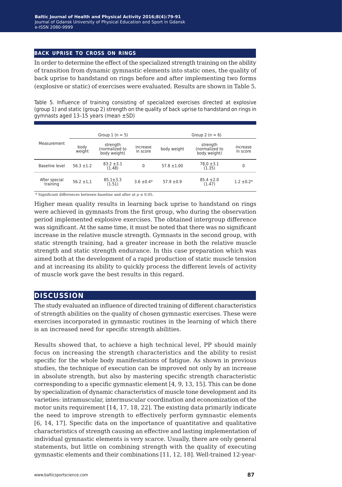#### **back uprise to cross on rings**

In order to determine the effect of the specialized strength training on the ability of transition from dynamic gymnastic elements into static ones, the quality of back uprise to handstand on rings before and after implementing two forms (explosive or static) of exercises were evaluated. Results are shown in Table 5.

Table 5. Influence of training consisting of specialized exercises directed at explosive (group 1) and static (group 2) strength on the quality of back uprise to handstand on rings in gymnasts aged 13–15 years (mean ±SD)

| Measurement               | Group $1(n = 5)$ |                                            |                      |                 | Group 2 ( $n = 6$ )                        |                      |  |
|---------------------------|------------------|--------------------------------------------|----------------------|-----------------|--------------------------------------------|----------------------|--|
|                           | body<br>weight   | strength<br>(normalized to<br>body weight) | increase<br>in score | body weight     | strength<br>(normalized to<br>body weight) | increase<br>in score |  |
| Baseline level            | $56.3 \pm 1.2$   | $83.2 \pm 3.1$<br>(1.48)                   | $\Omega$             | $57.8 \pm 1.00$ | $78.0 \pm 3.1$<br>(1.35)                   | 0                    |  |
| After special<br>training | $56.2 \pm 1.1$   | $85.1 \pm 3.3$<br>(1.51)                   | $3.6 \pm 0.4*$       | $57.9 \pm 0.9$  | $85.4 \pm 2.0$<br>(1.47)                   | $1.2 \pm 0.2*$       |  |

\* Significant differences between baseline and after at  $p \le 0.05$ .

Higher mean quality results in learning back uprise to handstand on rings were achieved in gymnasts from the first group, who during the observation period implemented explosive exercises. The obtained intergroup difference was significant. At the same time, it must be noted that there was no significant increase in the relative muscle strength. Gymnasts in the second group, with static strength training, had a greater increase in both the relative muscle strength and static strength endurance. In this case preparation which was aimed both at the development of a rapid production of static muscle tension and at increasing its ability to quickly process the different levels of activity of muscle work gave the best results in this regard.

## **discussion**

The study evaluated an influence of directed training of different characteristics of strength abilities on the quality of chosen gymnastic exercises. These were exercises incorporated in gymnastic routines in the learning of which there is an increased need for specific strength abilities.

Results showed that, to achieve a high technical level, PP should mainly focus on increasing the strength characteristics and the ability to resist specific for the whole body manifestations of fatigue. As shown in previous studies, the technique of execution can be improved not only by an increase in absolute strength, but also by mastering specific strength characteristic corresponding to a specific gymnastic element [4, 9, 13, 15]. This can be done by specialization of dynamic characteristics of muscle tone development and its varieties: intramuscular, intermuscular coordination and economization of the motor units requirement [14, 17, 18, 22]. The existing data primarily indicate the need to improve strength to effectively perform gymnastic elements [6, 14, 17]. Specific data on the importance of quantitative and qualitative characteristics of strength causing an effective and lasting implementation of individual gymnastic elements is very scarce. Usually, there are only general statements, but little on combining strength with the quality of executing gymnastic elements and their combinations [11, 12, 18]. Well-trained 12-year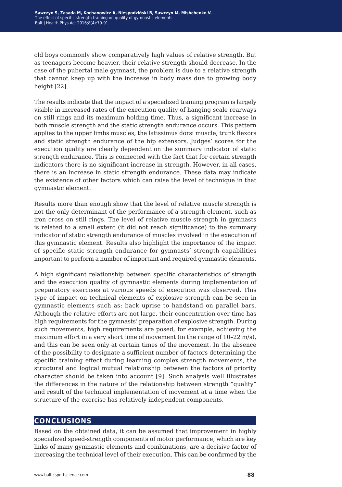old boys commonly show comparatively high values of relative strength. But as teenagers become heavier, their relative strength should decrease. In the case of the pubertal male gymnast, the problem is due to a relative strength that cannot keep up with the increase in body mass due to growing body height [22].

The results indicate that the impact of a specialized training program is largely visible in increased rates of the execution quality of hanging scale rearways on still rings and its maximum holding time. Thus, a significant increase in both muscle strength and the static strength endurance occurs. This pattern applies to the upper limbs muscles, the latissimus dorsi muscle, trunk flexors and static strength endurance of the hip extensors. Judges' scores for the execution quality are clearly dependent on the summary indicator of static strength endurance. This is connected with the fact that for certain strength indicators there is no significant increase in strength. However, in all cases, there is an increase in static strength endurance. These data may indicate the existence of other factors which can raise the level of technique in that gymnastic element.

Results more than enough show that the level of relative muscle strength is not the only determinant of the performance of a strength element, such as iron cross on still rings. The level of relative muscle strength in gymnasts is related to a small extent (it did not reach significance) to the summary indicator of static strength endurance of muscles involved in the execution of this gymnastic element. Results also highlight the importance of the impact of specific static strength endurance for gymnasts' strength capabilities important to perform a number of important and required gymnastic elements.

A high significant relationship between specific characteristics of strength and the execution quality of gymnastic elements during implementation of preparatory exercises at various speeds of execution was observed. This type of impact on technical elements of explosive strength can be seen in gymnastic elements such as: back uprise to handstand on parallel bars. Although the relative efforts are not large, their concentration over time has high requirements for the gymnasts' preparation of explosive strength. During such movements, high requirements are posed, for example, achieving the maximum effort in a very short time of movement (in the range of 10–22 m/s), and this can be seen only at certain times of the movement. In the absence of the possibility to designate a sufficient number of factors determining the specific training effect during learning complex strength movements, the structural and logical mutual relationship between the factors of priority character should be taken into account [9]. Such analysis well illustrates the differences in the nature of the relationship between strength "quality" and result of the technical implementation of movement at a time when the structure of the exercise has relatively independent components.

## **conclusions**

Based on the obtained data, it can be assumed that improvement in highly specialized speed-strength components of motor performance, which are key links of many gymnastic elements and combinations, are a decisive factor of increasing the technical level of their execution. This can be confirmed by the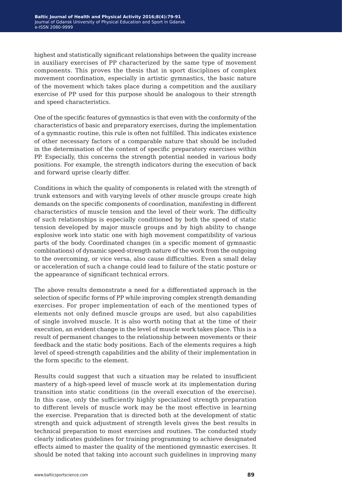highest and statistically significant relationships between the quality increase in auxiliary exercises of PP characterized by the same type of movement components. This proves the thesis that in sport disciplines of complex movement coordination, especially in artistic gymnastics, the basic nature of the movement which takes place during a competition and the auxiliary exercise of PP used for this purpose should be analogous to their strength and speed characteristics.

One of the specific features of gymnastics is that even with the conformity of the characteristics of basic and preparatory exercises, during the implementation of a gymnastic routine, this rule is often not fulfilled. This indicates existence of other necessary factors of a comparable nature that should be included in the determination of the content of specific preparatory exercises within PP. Especially, this concerns the strength potential needed in various body positions. For example, the strength indicators during the execution of back and forward uprise clearly differ.

Conditions in which the quality of components is related with the strength of trunk extensors and with varying levels of other muscle groups create high demands on the specific components of coordination, manifesting in different characteristics of muscle tension and the level of their work. The difficulty of such relationships is especially conditioned by both the speed of static tension developed by major muscle groups and by high ability to change explosive work into static one with high movement compatibility of various parts of the body. Coordinated changes (in a specific moment of gymnastic combinations) of dynamic speed-strength nature of the work from the outgoing to the overcoming, or vice versa, also cause difficulties. Even a small delay or acceleration of such a change could lead to failure of the static posture or the appearance of significant technical errors.

The above results demonstrate a need for a differentiated approach in the selection of specific forms of PP while improving complex strength demanding exercises. For proper implementation of each of the mentioned types of elements not only defined muscle groups are used, but also capabilities of single involved muscle. It is also worth noting that at the time of their execution, an evident change in the level of muscle work takes place. This is a result of permanent changes to the relationship between movements or their feedback and the static body positions. Each of the elements requires a high level of speed-strength capabilities and the ability of their implementation in the form specific to the element.

Results could suggest that such a situation may be related to insufficient mastery of a high-speed level of muscle work at its implementation during transition into static conditions (in the overall execution of the exercise). In this case, only the sufficiently highly specialized strength preparation to different levels of muscle work may be the most effective in learning the exercise. Preparation that is directed both at the development of static strength and quick adjustment of strength levels gives the best results in technical preparation to most exercises and routines. The conducted study clearly indicates guidelines for training programming to achieve designated effects aimed to master the quality of the mentioned gymnastic exercises. It should be noted that taking into account such guidelines in improving many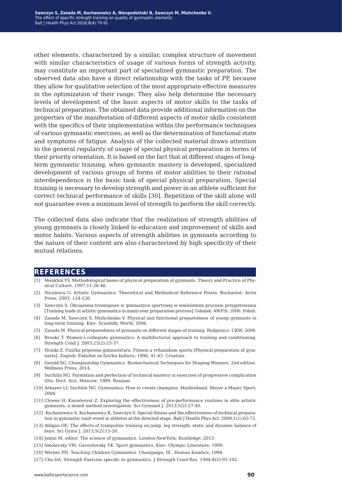other elements, characterized by a similar, complex structure of movement with similar characteristics of usage of various forms of strength activity. may constitute an important part of specialized gymnastic preparation. The observed data also have a direct relationship with the tasks of PP, because they allow for qualitative selection of the most appropriate effective measures in the optimization of their range. They also help determine the necessary levels of development of the basic aspects of motor skills to the tasks of technical preparation. The obtained data provide additional information on the properties of the manifestation of different aspects of motor skills consistent with the specifics of their implementation within the performance techniques of various gymnastic exercises, as well as the determination of functional state and symptoms of fatigue. Analysis of the collected material draws attention to the general regularity of usage of special physical preparation in terms of their priority orientation. It is based on the fact that at different stages of longterm gymnastic training, when gymnastic mastery is developed, specialized development of various groups of forms of motor abilities to their rational interdependence is the basic task of special physical preparation. Special training is necessary to develop strength and power in an athlete sufficient for correct technical performance of skills [30]. Repetition of the skill alone will not guarantee even a minimum level of strength to perform the skill correctly.

The collected data also indicate that the realization of strength abilities of young gymnasts is closely linked to education and improvement of skills and motor habits. Various aspects of strength abilities in gymnasts according to the nature of their content are also characterized by high specificity of their mutual relations.

#### **references**

- [1] Menkhin YV. Methodological bases of physical preparation of gymnasts. Theory and Practice of Physical Culture. 1997;11:26-40.
- [2] Niculescu G. Artistic Gymnastics. Theoretical and Methodical Reference Points. Bucharest: Arvin Press; 2003, 124-126.
- [3] Sawczyn S. Obciążenia treningowe w gimnastyce sportowej w wieloletnim procesie przygotowania [Training loads in artistic gymnastics in many-year preparation process]. Gdańsk: AWFiS; 2000. Polish.
- [4] Zasada M, Sawczyn S, Mishchenko V. Physical and functional preparedness of young gymnasts in long-term training. Kiev: Scientific World; 2006.
- [5] Zasada M. Physical preparedness of gymnasts on different stages of training. Bydgoszcz: UKW; 2008.
- [6] Brooks T. Women's collegiate gymnastics: A multifactorial approach to training and conditioning. Strength Cond J. 2003;25(2):23-37.
- [7] Hraski Z. Fizička priprema gimnastičara. Fitness u vrhunskom sportu [Physical preparation of gymnasts]. Zagreb: Fakultet za fizičku kulturu; 1996, 41-43. Croatian.
- [8] Gerald SG. Championship Gymnastics: Biomechanical Techniques for Shaping Winners. 2nd edition. Wellness Press; 2014.
- [9] Suchilin NG. Formation and perfection of technical mastery in exercises of progressive complication (Dis. Doct. Sci). Moscow; 1989. Russian.
- [10] Arkayev LI, Suchilin NG. Gymnastics: How to create champion. Maidenhead: Meyer a Mayer Sport; 2004.
- [11] Clowes H, Knowlesvol Z. Exploring the effectiveness of pre-performance routines in elite artistic gymnasts: a mixed method investigation. Sci Gymnast J. 2013;5(2):27-40.
- [12] Kochanowicz A, Kochanowicz K, Sawczyn S. Special fitness and the effectiveness of technical preparation in gymnastic vault event in athletes at the directed stage. Balt J Health Phys Act. 2009;1(1):65-72.
- [13] Atilgan OE. The effects of trampoline training on jump, leg strength, static and dynamic balance of boys. Sci Gymn J. 2013;5(2):15-26.
- [14] Jemni M, editor. The science of gymnastics. London-NewYork: Routledge; 2013.
- [15] Smolevsky VM, Gaverdovsky YK. Sport gymnastics. Kiev: Olympic Literature; 1999.
- [16] Werner PH. Teaching Children Gymnastics. Champaign, Ill.: Human Kinetics; 1994.
- [17] Chu DA. Strength Exercise specific to gymnastics. J Strength Cond Res. 1994;8(2):95-102.